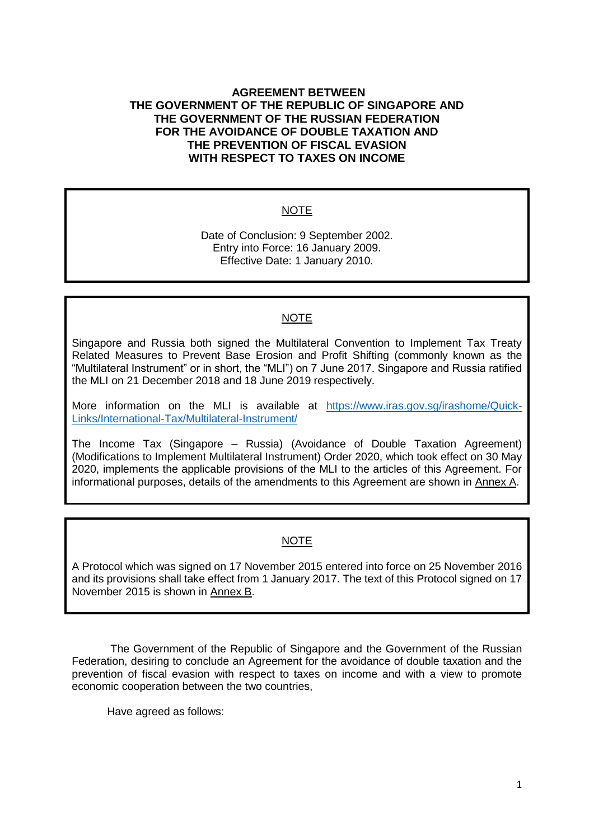## **AGREEMENT BETWEEN THE GOVERNMENT OF THE REPUBLIC OF SINGAPORE AND THE GOVERNMENT OF THE RUSSIAN FEDERATION FOR THE AVOIDANCE OF DOUBLE TAXATION AND THE PREVENTION OF FISCAL EVASION WITH RESPECT TO TAXES ON INCOME**

## NOTE

Date of Conclusion: 9 September 2002. Entry into Force: 16 January 2009. Effective Date: 1 January 2010.

## NOTE

Singapore and Russia both signed the Multilateral Convention to Implement Tax Treaty Related Measures to Prevent Base Erosion and Profit Shifting (commonly known as the "Multilateral Instrument" or in short, the "MLI") on 7 June 2017. Singapore and Russia ratified the MLI on 21 December 2018 and 18 June 2019 respectively.

More information on the MLI is available at [https://www.iras.gov.sg/irashome/Quick-](https://www.iras.gov.sg/irashome/Quick-Links/International-Tax/Multilateral-Instrument/)[Links/International-Tax/Multilateral-Instrument/](https://www.iras.gov.sg/irashome/Quick-Links/International-Tax/Multilateral-Instrument/)

The Income Tax (Singapore – Russia) (Avoidance of Double Taxation Agreement) (Modifications to Implement Multilateral Instrument) Order 2020, which took effect on 30 May 2020, implements the applicable provisions of the MLI to the articles of this Agreement. For informational purposes, details of the amendments to this Agreement are shown in Annex A.

# **NOTE**

A Protocol which was signed on 17 November 2015 entered into force on 25 November 2016 and its provisions shall take effect from 1 January 2017. The text of this Protocol signed on 17 November 2015 is shown in Annex B.

The Government of the Republic of Singapore and the Government of the Russian Federation, desiring to conclude an Agreement for the avoidance of double taxation and the prevention of fiscal evasion with respect to taxes on income and with a view to promote economic cooperation between the two countries,

Have agreed as follows: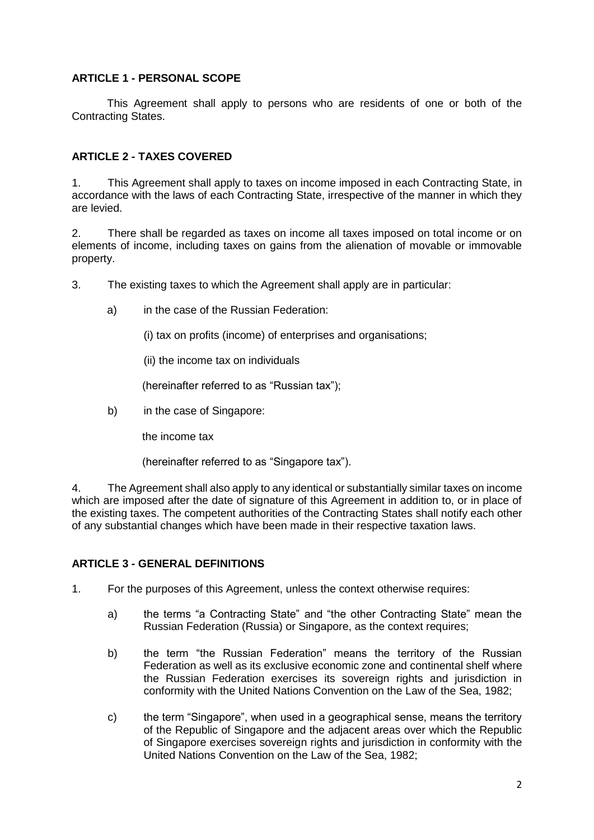## **ARTICLE 1 - PERSONAL SCOPE**

This Agreement shall apply to persons who are residents of one or both of the Contracting States.

## **ARTICLE 2 - TAXES COVERED**

1. This Agreement shall apply to taxes on income imposed in each Contracting State, in accordance with the laws of each Contracting State, irrespective of the manner in which they are levied.

2. There shall be regarded as taxes on income all taxes imposed on total income or on elements of income, including taxes on gains from the alienation of movable or immovable property.

3. The existing taxes to which the Agreement shall apply are in particular:

a) in the case of the Russian Federation:

(i) tax on profits (income) of enterprises and organisations;

(ii) the income tax on individuals

(hereinafter referred to as "Russian tax");

b) in the case of Singapore:

the income tax

(hereinafter referred to as "Singapore tax").

4. The Agreement shall also apply to any identical or substantially similar taxes on income which are imposed after the date of signature of this Agreement in addition to, or in place of the existing taxes. The competent authorities of the Contracting States shall notify each other of any substantial changes which have been made in their respective taxation laws.

## **ARTICLE 3 - GENERAL DEFINITIONS**

1. For the purposes of this Agreement, unless the context otherwise requires:

- a) the terms "a Contracting State" and "the other Contracting State" mean the Russian Federation (Russia) or Singapore, as the context requires;
- b) the term "the Russian Federation" means the territory of the Russian Federation as well as its exclusive economic zone and continental shelf where the Russian Federation exercises its sovereign rights and jurisdiction in conformity with the United Nations Convention on the Law of the Sea, 1982;
- c) the term "Singapore", when used in a geographical sense, means the territory of the Republic of Singapore and the adjacent areas over which the Republic of Singapore exercises sovereign rights and jurisdiction in conformity with the United Nations Convention on the Law of the Sea, 1982;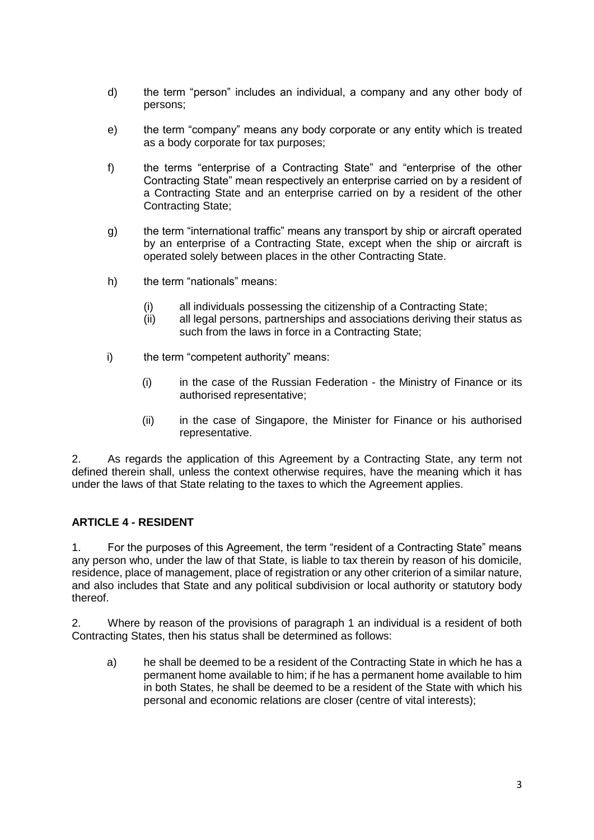- d) the term "person" includes an individual, a company and any other body of persons;
- e) the term "company" means any body corporate or any entity which is treated as a body corporate for tax purposes;
- f) the terms "enterprise of a Contracting State" and "enterprise of the other Contracting State" mean respectively an enterprise carried on by a resident of a Contracting State and an enterprise carried on by a resident of the other Contracting State;
- g) the term "international traffic" means any transport by ship or aircraft operated by an enterprise of a Contracting State, except when the ship or aircraft is operated solely between places in the other Contracting State.
- h) the term "nationals" means:
	- (i) all individuals possessing the citizenship of a Contracting State;
	- (ii) all legal persons, partnerships and associations deriving their status as such from the laws in force in a Contracting State;
- i) the term "competent authority" means:
	- (i) in the case of the Russian Federation the Ministry of Finance or its authorised representative;
	- (ii) in the case of Singapore, the Minister for Finance or his authorised representative.

2. As regards the application of this Agreement by a Contracting State, any term not defined therein shall, unless the context otherwise requires, have the meaning which it has under the laws of that State relating to the taxes to which the Agreement applies.

# **ARTICLE 4 - RESIDENT**

1. For the purposes of this Agreement, the term "resident of a Contracting State" means any person who, under the law of that State, is liable to tax therein by reason of his domicile, residence, place of management, place of registration or any other criterion of a similar nature, and also includes that State and any political subdivision or local authority or statutory body thereof.

2. Where by reason of the provisions of paragraph 1 an individual is a resident of both Contracting States, then his status shall be determined as follows:

a) he shall be deemed to be a resident of the Contracting State in which he has a permanent home available to him; if he has a permanent home available to him in both States, he shall be deemed to be a resident of the State with which his personal and economic relations are closer (centre of vital interests);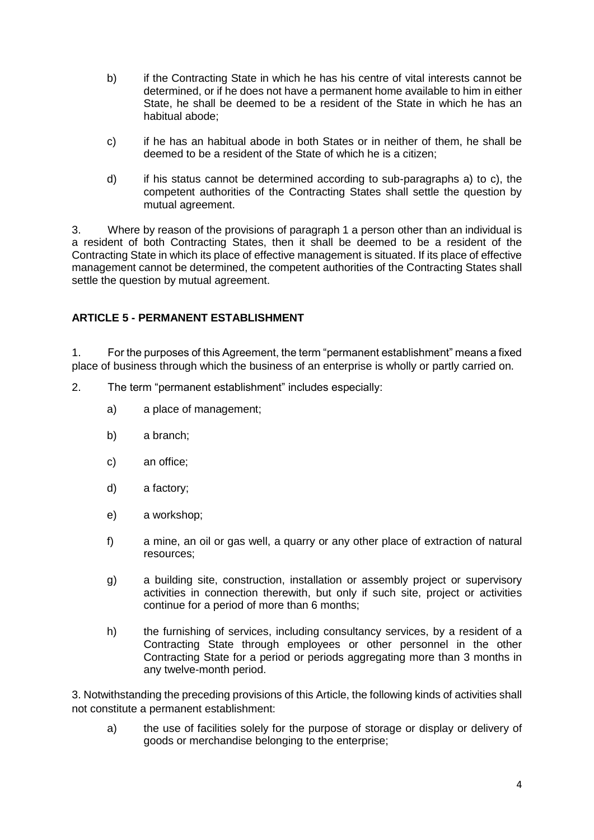- b) if the Contracting State in which he has his centre of vital interests cannot be determined, or if he does not have a permanent home available to him in either State, he shall be deemed to be a resident of the State in which he has an habitual abode;
- c) if he has an habitual abode in both States or in neither of them, he shall be deemed to be a resident of the State of which he is a citizen;
- d) if his status cannot be determined according to sub-paragraphs a) to c), the competent authorities of the Contracting States shall settle the question by mutual agreement.

3. Where by reason of the provisions of paragraph 1 a person other than an individual is a resident of both Contracting States, then it shall be deemed to be a resident of the Contracting State in which its place of effective management is situated. If its place of effective management cannot be determined, the competent authorities of the Contracting States shall settle the question by mutual agreement.

# **ARTICLE 5 - PERMANENT ESTABLISHMENT**

1. For the purposes of this Agreement, the term "permanent establishment" means a fixed place of business through which the business of an enterprise is wholly or partly carried on.

- 2. The term "permanent establishment" includes especially:
	- a) a place of management;
	- b) a branch;
	- c) an office;
	- d) a factory;
	- e) a workshop;
	- f) a mine, an oil or gas well, a quarry or any other place of extraction of natural resources;
	- g) a building site, construction, installation or assembly project or supervisory activities in connection therewith, but only if such site, project or activities continue for a period of more than 6 months;
	- h) the furnishing of services, including consultancy services, by a resident of a Contracting State through employees or other personnel in the other Contracting State for a period or periods aggregating more than 3 months in any twelve-month period.

3. Notwithstanding the preceding provisions of this Article, the following kinds of activities shall not constitute a permanent establishment:

a) the use of facilities solely for the purpose of storage or display or delivery of goods or merchandise belonging to the enterprise;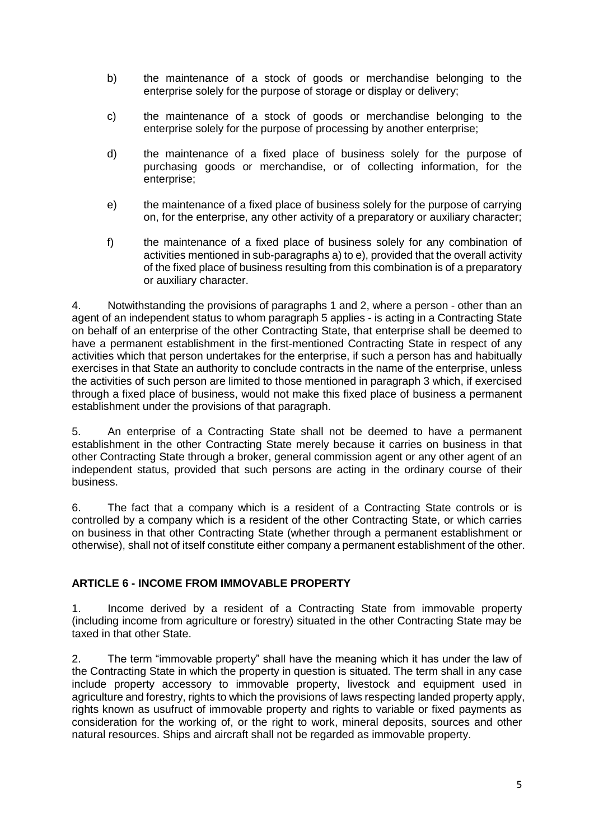- b) the maintenance of a stock of goods or merchandise belonging to the enterprise solely for the purpose of storage or display or delivery;
- c) the maintenance of a stock of goods or merchandise belonging to the enterprise solely for the purpose of processing by another enterprise;
- d) the maintenance of a fixed place of business solely for the purpose of purchasing goods or merchandise, or of collecting information, for the enterprise;
- e) the maintenance of a fixed place of business solely for the purpose of carrying on, for the enterprise, any other activity of a preparatory or auxiliary character;
- f) the maintenance of a fixed place of business solely for any combination of activities mentioned in sub-paragraphs a) to e), provided that the overall activity of the fixed place of business resulting from this combination is of a preparatory or auxiliary character.

4. Notwithstanding the provisions of paragraphs 1 and 2, where a person - other than an agent of an independent status to whom paragraph 5 applies - is acting in a Contracting State on behalf of an enterprise of the other Contracting State, that enterprise shall be deemed to have a permanent establishment in the first-mentioned Contracting State in respect of any activities which that person undertakes for the enterprise, if such a person has and habitually exercises in that State an authority to conclude contracts in the name of the enterprise, unless the activities of such person are limited to those mentioned in paragraph 3 which, if exercised through a fixed place of business, would not make this fixed place of business a permanent establishment under the provisions of that paragraph.

5. An enterprise of a Contracting State shall not be deemed to have a permanent establishment in the other Contracting State merely because it carries on business in that other Contracting State through a broker, general commission agent or any other agent of an independent status, provided that such persons are acting in the ordinary course of their business.

6. The fact that a company which is a resident of a Contracting State controls or is controlled by a company which is a resident of the other Contracting State, or which carries on business in that other Contracting State (whether through a permanent establishment or otherwise), shall not of itself constitute either company a permanent establishment of the other.

# **ARTICLE 6 - INCOME FROM IMMOVABLE PROPERTY**

1. Income derived by a resident of a Contracting State from immovable property (including income from agriculture or forestry) situated in the other Contracting State may be taxed in that other State.

2. The term "immovable property" shall have the meaning which it has under the law of the Contracting State in which the property in question is situated. The term shall in any case include property accessory to immovable property, livestock and equipment used in agriculture and forestry, rights to which the provisions of laws respecting landed property apply, rights known as usufruct of immovable property and rights to variable or fixed payments as consideration for the working of, or the right to work, mineral deposits, sources and other natural resources. Ships and aircraft shall not be regarded as immovable property.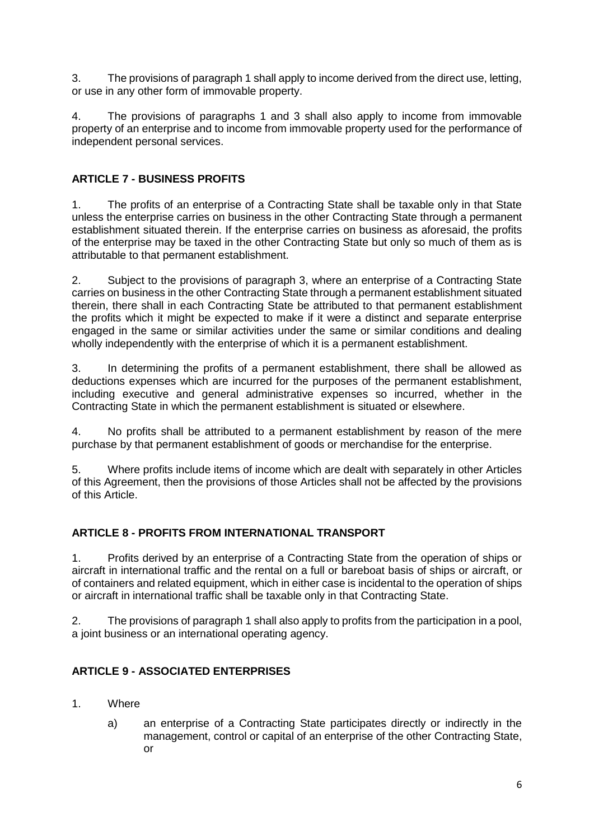3. The provisions of paragraph 1 shall apply to income derived from the direct use, letting, or use in any other form of immovable property.

4. The provisions of paragraphs 1 and 3 shall also apply to income from immovable property of an enterprise and to income from immovable property used for the performance of independent personal services.

# **ARTICLE 7 - BUSINESS PROFITS**

1. The profits of an enterprise of a Contracting State shall be taxable only in that State unless the enterprise carries on business in the other Contracting State through a permanent establishment situated therein. If the enterprise carries on business as aforesaid, the profits of the enterprise may be taxed in the other Contracting State but only so much of them as is attributable to that permanent establishment.

2. Subject to the provisions of paragraph 3, where an enterprise of a Contracting State carries on business in the other Contracting State through a permanent establishment situated therein, there shall in each Contracting State be attributed to that permanent establishment the profits which it might be expected to make if it were a distinct and separate enterprise engaged in the same or similar activities under the same or similar conditions and dealing wholly independently with the enterprise of which it is a permanent establishment.

3. In determining the profits of a permanent establishment, there shall be allowed as deductions expenses which are incurred for the purposes of the permanent establishment, including executive and general administrative expenses so incurred, whether in the Contracting State in which the permanent establishment is situated or elsewhere.

4. No profits shall be attributed to a permanent establishment by reason of the mere purchase by that permanent establishment of goods or merchandise for the enterprise.

5. Where profits include items of income which are dealt with separately in other Articles of this Agreement, then the provisions of those Articles shall not be affected by the provisions of this Article.

# **ARTICLE 8 - PROFITS FROM INTERNATIONAL TRANSPORT**

1. Profits derived by an enterprise of a Contracting State from the operation of ships or aircraft in international traffic and the rental on a full or bareboat basis of ships or aircraft, or of containers and related equipment, which in either case is incidental to the operation of ships or aircraft in international traffic shall be taxable only in that Contracting State.

2. The provisions of paragraph 1 shall also apply to profits from the participation in a pool, a joint business or an international operating agency.

# **ARTICLE 9 - ASSOCIATED ENTERPRISES**

- 1. Where
	- a) an enterprise of a Contracting State participates directly or indirectly in the management, control or capital of an enterprise of the other Contracting State, or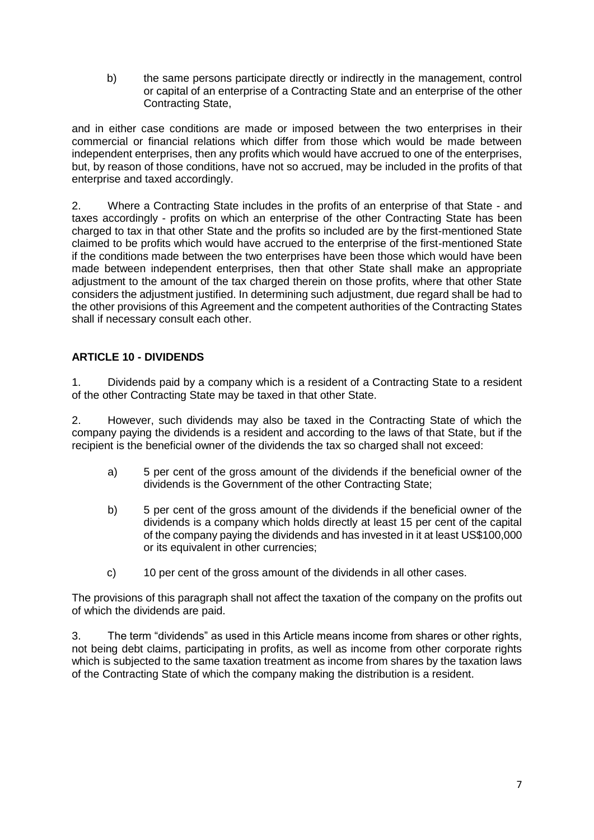b) the same persons participate directly or indirectly in the management, control or capital of an enterprise of a Contracting State and an enterprise of the other Contracting State,

and in either case conditions are made or imposed between the two enterprises in their commercial or financial relations which differ from those which would be made between independent enterprises, then any profits which would have accrued to one of the enterprises, but, by reason of those conditions, have not so accrued, may be included in the profits of that enterprise and taxed accordingly.

2. Where a Contracting State includes in the profits of an enterprise of that State - and taxes accordingly - profits on which an enterprise of the other Contracting State has been charged to tax in that other State and the profits so included are by the first-mentioned State claimed to be profits which would have accrued to the enterprise of the first-mentioned State if the conditions made between the two enterprises have been those which would have been made between independent enterprises, then that other State shall make an appropriate adjustment to the amount of the tax charged therein on those profits, where that other State considers the adjustment justified. In determining such adjustment, due regard shall be had to the other provisions of this Agreement and the competent authorities of the Contracting States shall if necessary consult each other.

# **ARTICLE 10 - DIVIDENDS**

1. Dividends paid by a company which is a resident of a Contracting State to a resident of the other Contracting State may be taxed in that other State.

2. However, such dividends may also be taxed in the Contracting State of which the company paying the dividends is a resident and according to the laws of that State, but if the recipient is the beneficial owner of the dividends the tax so charged shall not exceed:

- a) 5 per cent of the gross amount of the dividends if the beneficial owner of the dividends is the Government of the other Contracting State;
- b) 5 per cent of the gross amount of the dividends if the beneficial owner of the dividends is a company which holds directly at least 15 per cent of the capital of the company paying the dividends and has invested in it at least US\$100,000 or its equivalent in other currencies;
- c) 10 per cent of the gross amount of the dividends in all other cases.

The provisions of this paragraph shall not affect the taxation of the company on the profits out of which the dividends are paid.

3. The term "dividends" as used in this Article means income from shares or other rights, not being debt claims, participating in profits, as well as income from other corporate rights which is subjected to the same taxation treatment as income from shares by the taxation laws of the Contracting State of which the company making the distribution is a resident.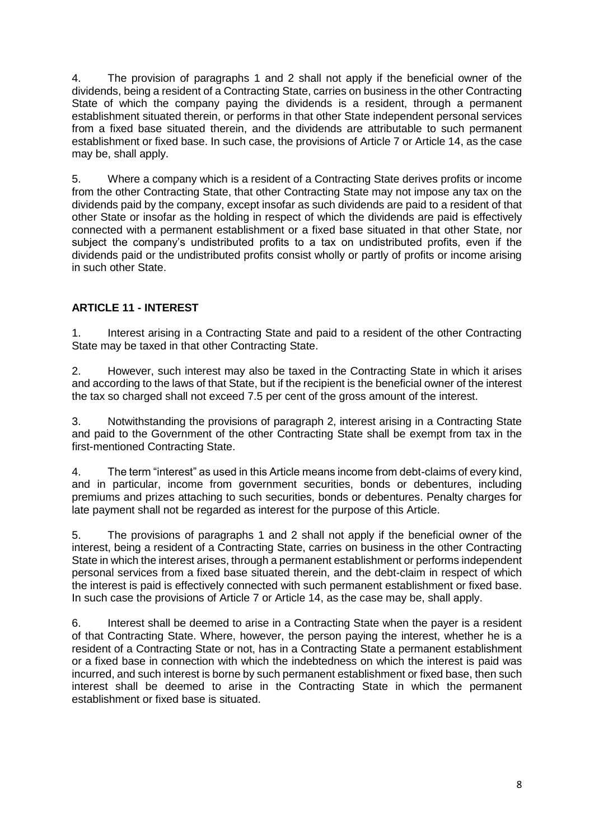4. The provision of paragraphs 1 and 2 shall not apply if the beneficial owner of the dividends, being a resident of a Contracting State, carries on business in the other Contracting State of which the company paying the dividends is a resident, through a permanent establishment situated therein, or performs in that other State independent personal services from a fixed base situated therein, and the dividends are attributable to such permanent establishment or fixed base. In such case, the provisions of Article 7 or Article 14, as the case may be, shall apply.

5. Where a company which is a resident of a Contracting State derives profits or income from the other Contracting State, that other Contracting State may not impose any tax on the dividends paid by the company, except insofar as such dividends are paid to a resident of that other State or insofar as the holding in respect of which the dividends are paid is effectively connected with a permanent establishment or a fixed base situated in that other State, nor subject the company's undistributed profits to a tax on undistributed profits, even if the dividends paid or the undistributed profits consist wholly or partly of profits or income arising in such other State.

# **ARTICLE 11 - INTEREST**

1. Interest arising in a Contracting State and paid to a resident of the other Contracting State may be taxed in that other Contracting State.

2. However, such interest may also be taxed in the Contracting State in which it arises and according to the laws of that State, but if the recipient is the beneficial owner of the interest the tax so charged shall not exceed 7.5 per cent of the gross amount of the interest.

3. Notwithstanding the provisions of paragraph 2, interest arising in a Contracting State and paid to the Government of the other Contracting State shall be exempt from tax in the first-mentioned Contracting State.

4. The term "interest" as used in this Article means income from debt-claims of every kind, and in particular, income from government securities, bonds or debentures, including premiums and prizes attaching to such securities, bonds or debentures. Penalty charges for late payment shall not be regarded as interest for the purpose of this Article.

5. The provisions of paragraphs 1 and 2 shall not apply if the beneficial owner of the interest, being a resident of a Contracting State, carries on business in the other Contracting State in which the interest arises, through a permanent establishment or performs independent personal services from a fixed base situated therein, and the debt-claim in respect of which the interest is paid is effectively connected with such permanent establishment or fixed base. In such case the provisions of Article 7 or Article 14, as the case may be, shall apply.

6. Interest shall be deemed to arise in a Contracting State when the payer is a resident of that Contracting State. Where, however, the person paying the interest, whether he is a resident of a Contracting State or not, has in a Contracting State a permanent establishment or a fixed base in connection with which the indebtedness on which the interest is paid was incurred, and such interest is borne by such permanent establishment or fixed base, then such interest shall be deemed to arise in the Contracting State in which the permanent establishment or fixed base is situated.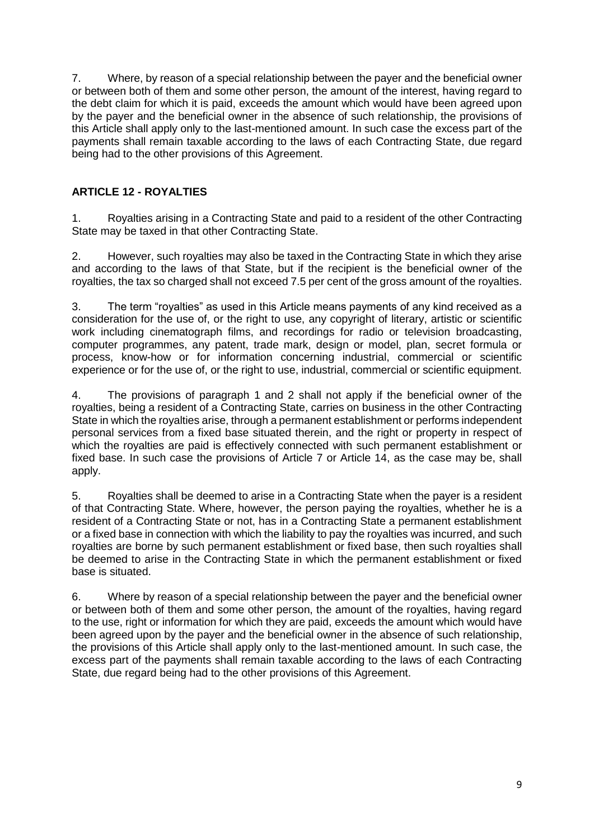7. Where, by reason of a special relationship between the payer and the beneficial owner or between both of them and some other person, the amount of the interest, having regard to the debt claim for which it is paid, exceeds the amount which would have been agreed upon by the payer and the beneficial owner in the absence of such relationship, the provisions of this Article shall apply only to the last-mentioned amount. In such case the excess part of the payments shall remain taxable according to the laws of each Contracting State, due regard being had to the other provisions of this Agreement.

# **ARTICLE 12 - ROYALTIES**

1. Royalties arising in a Contracting State and paid to a resident of the other Contracting State may be taxed in that other Contracting State.

2. However, such royalties may also be taxed in the Contracting State in which they arise and according to the laws of that State, but if the recipient is the beneficial owner of the royalties, the tax so charged shall not exceed 7.5 per cent of the gross amount of the royalties.

3. The term "royalties" as used in this Article means payments of any kind received as a consideration for the use of, or the right to use, any copyright of literary, artistic or scientific work including cinematograph films, and recordings for radio or television broadcasting, computer programmes, any patent, trade mark, design or model, plan, secret formula or process, know-how or for information concerning industrial, commercial or scientific experience or for the use of, or the right to use, industrial, commercial or scientific equipment.

4. The provisions of paragraph 1 and 2 shall not apply if the beneficial owner of the royalties, being a resident of a Contracting State, carries on business in the other Contracting State in which the royalties arise, through a permanent establishment or performs independent personal services from a fixed base situated therein, and the right or property in respect of which the royalties are paid is effectively connected with such permanent establishment or fixed base. In such case the provisions of Article 7 or Article 14, as the case may be, shall apply.

5. Royalties shall be deemed to arise in a Contracting State when the payer is a resident of that Contracting State. Where, however, the person paying the royalties, whether he is a resident of a Contracting State or not, has in a Contracting State a permanent establishment or a fixed base in connection with which the liability to pay the royalties was incurred, and such royalties are borne by such permanent establishment or fixed base, then such royalties shall be deemed to arise in the Contracting State in which the permanent establishment or fixed base is situated.

6. Where by reason of a special relationship between the payer and the beneficial owner or between both of them and some other person, the amount of the royalties, having regard to the use, right or information for which they are paid, exceeds the amount which would have been agreed upon by the payer and the beneficial owner in the absence of such relationship, the provisions of this Article shall apply only to the last-mentioned amount. In such case, the excess part of the payments shall remain taxable according to the laws of each Contracting State, due regard being had to the other provisions of this Agreement.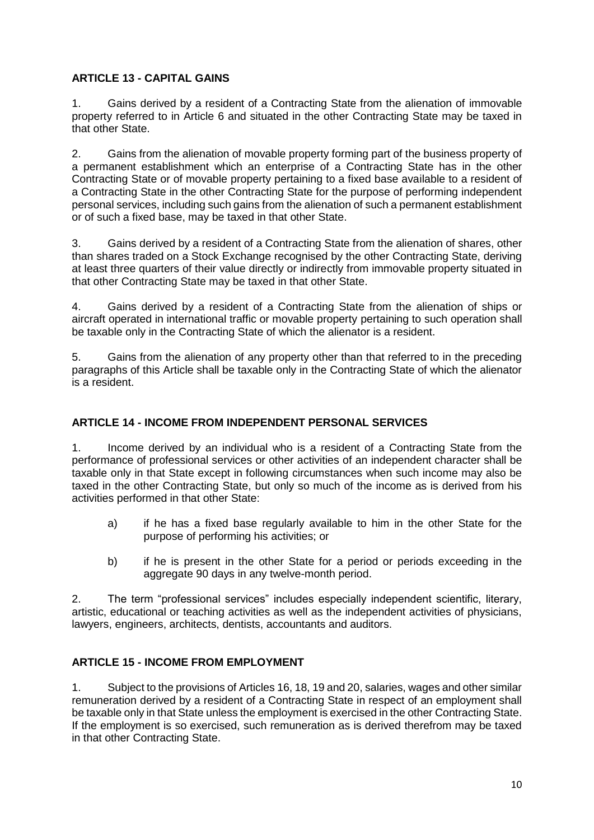## **ARTICLE 13 - CAPITAL GAINS**

1. Gains derived by a resident of a Contracting State from the alienation of immovable property referred to in Article 6 and situated in the other Contracting State may be taxed in that other State.

2. Gains from the alienation of movable property forming part of the business property of a permanent establishment which an enterprise of a Contracting State has in the other Contracting State or of movable property pertaining to a fixed base available to a resident of a Contracting State in the other Contracting State for the purpose of performing independent personal services, including such gains from the alienation of such a permanent establishment or of such a fixed base, may be taxed in that other State.

3. Gains derived by a resident of a Contracting State from the alienation of shares, other than shares traded on a Stock Exchange recognised by the other Contracting State, deriving at least three quarters of their value directly or indirectly from immovable property situated in that other Contracting State may be taxed in that other State.

4. Gains derived by a resident of a Contracting State from the alienation of ships or aircraft operated in international traffic or movable property pertaining to such operation shall be taxable only in the Contracting State of which the alienator is a resident.

5. Gains from the alienation of any property other than that referred to in the preceding paragraphs of this Article shall be taxable only in the Contracting State of which the alienator is a resident.

# **ARTICLE 14 - INCOME FROM INDEPENDENT PERSONAL SERVICES**

1. Income derived by an individual who is a resident of a Contracting State from the performance of professional services or other activities of an independent character shall be taxable only in that State except in following circumstances when such income may also be taxed in the other Contracting State, but only so much of the income as is derived from his activities performed in that other State:

- a) if he has a fixed base regularly available to him in the other State for the purpose of performing his activities; or
- b) if he is present in the other State for a period or periods exceeding in the aggregate 90 days in any twelve-month period.

2. The term "professional services" includes especially independent scientific, literary, artistic, educational or teaching activities as well as the independent activities of physicians, lawyers, engineers, architects, dentists, accountants and auditors.

## **ARTICLE 15 - INCOME FROM EMPLOYMENT**

1. Subject to the provisions of Articles 16, 18, 19 and 20, salaries, wages and other similar remuneration derived by a resident of a Contracting State in respect of an employment shall be taxable only in that State unless the employment is exercised in the other Contracting State. If the employment is so exercised, such remuneration as is derived therefrom may be taxed in that other Contracting State.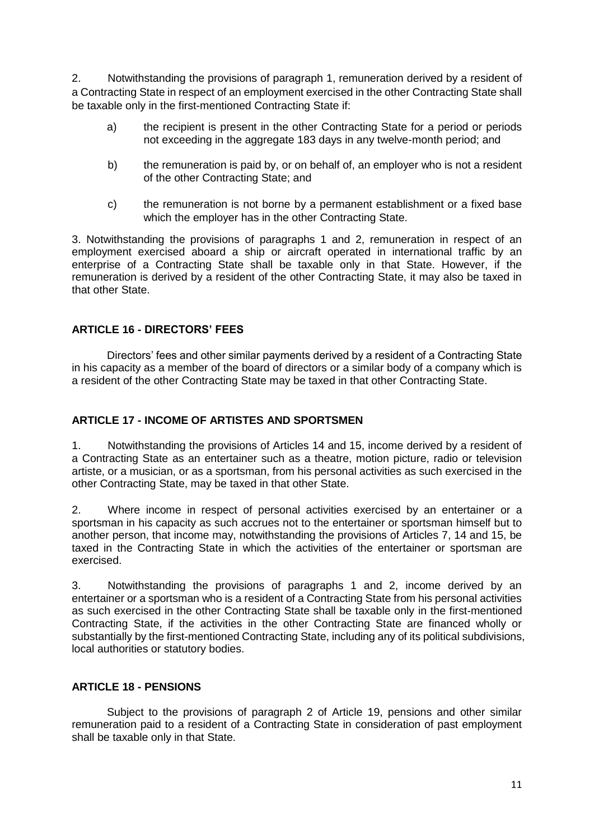2. Notwithstanding the provisions of paragraph 1, remuneration derived by a resident of a Contracting State in respect of an employment exercised in the other Contracting State shall be taxable only in the first-mentioned Contracting State if:

- a) the recipient is present in the other Contracting State for a period or periods not exceeding in the aggregate 183 days in any twelve-month period; and
- b) the remuneration is paid by, or on behalf of, an employer who is not a resident of the other Contracting State; and
- c) the remuneration is not borne by a permanent establishment or a fixed base which the employer has in the other Contracting State.

3. Notwithstanding the provisions of paragraphs 1 and 2, remuneration in respect of an employment exercised aboard a ship or aircraft operated in international traffic by an enterprise of a Contracting State shall be taxable only in that State. However, if the remuneration is derived by a resident of the other Contracting State, it may also be taxed in that other State.

## **ARTICLE 16 - DIRECTORS' FEES**

Directors' fees and other similar payments derived by a resident of a Contracting State in his capacity as a member of the board of directors or a similar body of a company which is a resident of the other Contracting State may be taxed in that other Contracting State.

## **ARTICLE 17 - INCOME OF ARTISTES AND SPORTSMEN**

1. Notwithstanding the provisions of Articles 14 and 15, income derived by a resident of a Contracting State as an entertainer such as a theatre, motion picture, radio or television artiste, or a musician, or as a sportsman, from his personal activities as such exercised in the other Contracting State, may be taxed in that other State.

2. Where income in respect of personal activities exercised by an entertainer or a sportsman in his capacity as such accrues not to the entertainer or sportsman himself but to another person, that income may, notwithstanding the provisions of Articles 7, 14 and 15, be taxed in the Contracting State in which the activities of the entertainer or sportsman are exercised.

3. Notwithstanding the provisions of paragraphs 1 and 2, income derived by an entertainer or a sportsman who is a resident of a Contracting State from his personal activities as such exercised in the other Contracting State shall be taxable only in the first-mentioned Contracting State, if the activities in the other Contracting State are financed wholly or substantially by the first-mentioned Contracting State, including any of its political subdivisions, local authorities or statutory bodies.

## **ARTICLE 18 - PENSIONS**

Subject to the provisions of paragraph 2 of Article 19, pensions and other similar remuneration paid to a resident of a Contracting State in consideration of past employment shall be taxable only in that State.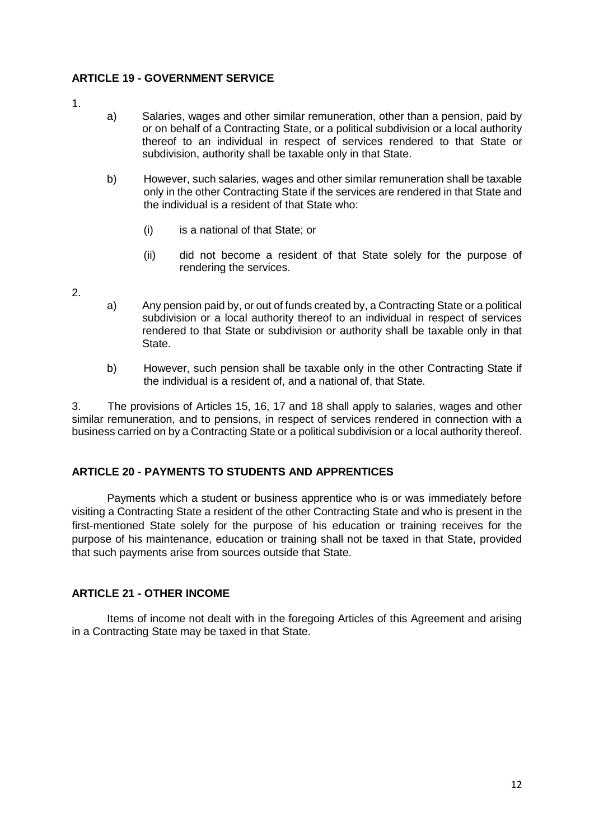## **ARTICLE 19 - GOVERNMENT SERVICE**

- 1.
- a) Salaries, wages and other similar remuneration, other than a pension, paid by or on behalf of a Contracting State, or a political subdivision or a local authority thereof to an individual in respect of services rendered to that State or subdivision, authority shall be taxable only in that State.
- b) However, such salaries, wages and other similar remuneration shall be taxable only in the other Contracting State if the services are rendered in that State and the individual is a resident of that State who:
	- (i) is a national of that State; or
	- (ii) did not become a resident of that State solely for the purpose of rendering the services.
- 2.
- a) Any pension paid by, or out of funds created by, a Contracting State or a political subdivision or a local authority thereof to an individual in respect of services rendered to that State or subdivision or authority shall be taxable only in that State.
- b) However, such pension shall be taxable only in the other Contracting State if the individual is a resident of, and a national of, that State.

3. The provisions of Articles 15, 16, 17 and 18 shall apply to salaries, wages and other similar remuneration, and to pensions, in respect of services rendered in connection with a business carried on by a Contracting State or a political subdivision or a local authority thereof.

# **ARTICLE 20 - PAYMENTS TO STUDENTS AND APPRENTICES**

Payments which a student or business apprentice who is or was immediately before visiting a Contracting State a resident of the other Contracting State and who is present in the first-mentioned State solely for the purpose of his education or training receives for the purpose of his maintenance, education or training shall not be taxed in that State, provided that such payments arise from sources outside that State.

# **ARTICLE 21 - OTHER INCOME**

Items of income not dealt with in the foregoing Articles of this Agreement and arising in a Contracting State may be taxed in that State.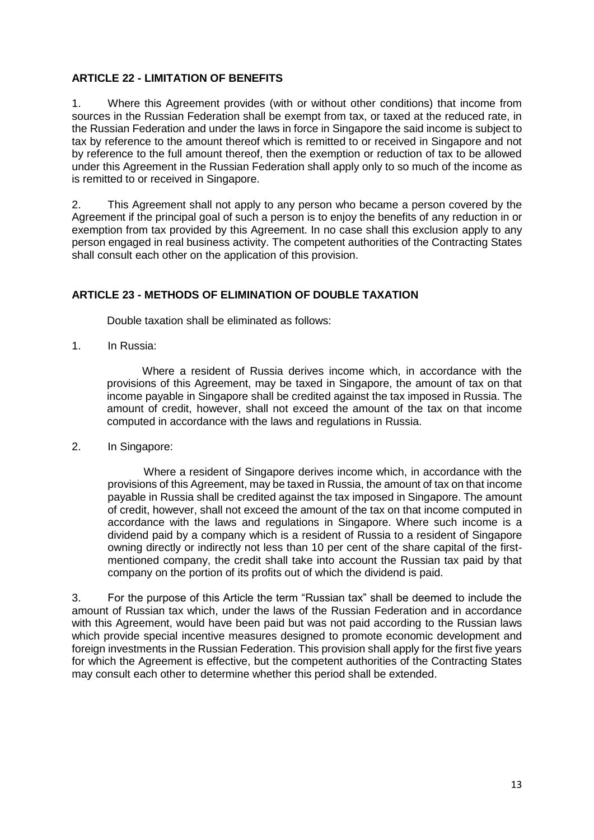## **ARTICLE 22 - LIMITATION OF BENEFITS**

1. Where this Agreement provides (with or without other conditions) that income from sources in the Russian Federation shall be exempt from tax, or taxed at the reduced rate, in the Russian Federation and under the laws in force in Singapore the said income is subject to tax by reference to the amount thereof which is remitted to or received in Singapore and not by reference to the full amount thereof, then the exemption or reduction of tax to be allowed under this Agreement in the Russian Federation shall apply only to so much of the income as is remitted to or received in Singapore.

2. This Agreement shall not apply to any person who became a person covered by the Agreement if the principal goal of such a person is to enjoy the benefits of any reduction in or exemption from tax provided by this Agreement. In no case shall this exclusion apply to any person engaged in real business activity. The competent authorities of the Contracting States shall consult each other on the application of this provision.

# **ARTICLE 23 - METHODS OF ELIMINATION OF DOUBLE TAXATION**

Double taxation shall be eliminated as follows:

1. In Russia:

Where a resident of Russia derives income which, in accordance with the provisions of this Agreement, may be taxed in Singapore, the amount of tax on that income payable in Singapore shall be credited against the tax imposed in Russia. The amount of credit, however, shall not exceed the amount of the tax on that income computed in accordance with the laws and regulations in Russia.

2. In Singapore:

Where a resident of Singapore derives income which, in accordance with the provisions of this Agreement, may be taxed in Russia, the amount of tax on that income payable in Russia shall be credited against the tax imposed in Singapore. The amount of credit, however, shall not exceed the amount of the tax on that income computed in accordance with the laws and regulations in Singapore. Where such income is a dividend paid by a company which is a resident of Russia to a resident of Singapore owning directly or indirectly not less than 10 per cent of the share capital of the firstmentioned company, the credit shall take into account the Russian tax paid by that company on the portion of its profits out of which the dividend is paid.

3. For the purpose of this Article the term "Russian tax" shall be deemed to include the amount of Russian tax which, under the laws of the Russian Federation and in accordance with this Agreement, would have been paid but was not paid according to the Russian laws which provide special incentive measures designed to promote economic development and foreign investments in the Russian Federation. This provision shall apply for the first five years for which the Agreement is effective, but the competent authorities of the Contracting States may consult each other to determine whether this period shall be extended.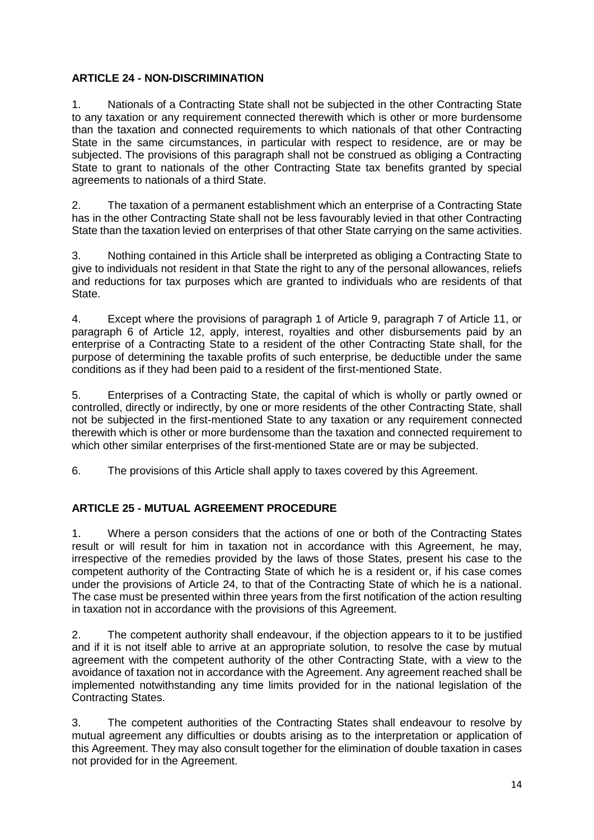# **ARTICLE 24 - NON-DISCRIMINATION**

1. Nationals of a Contracting State shall not be subjected in the other Contracting State to any taxation or any requirement connected therewith which is other or more burdensome than the taxation and connected requirements to which nationals of that other Contracting State in the same circumstances, in particular with respect to residence, are or may be subjected. The provisions of this paragraph shall not be construed as obliging a Contracting State to grant to nationals of the other Contracting State tax benefits granted by special agreements to nationals of a third State.

2. The taxation of a permanent establishment which an enterprise of a Contracting State has in the other Contracting State shall not be less favourably levied in that other Contracting State than the taxation levied on enterprises of that other State carrying on the same activities.

3. Nothing contained in this Article shall be interpreted as obliging a Contracting State to give to individuals not resident in that State the right to any of the personal allowances, reliefs and reductions for tax purposes which are granted to individuals who are residents of that State.

4. Except where the provisions of paragraph 1 of Article 9, paragraph 7 of Article 11, or paragraph 6 of Article 12, apply, interest, royalties and other disbursements paid by an enterprise of a Contracting State to a resident of the other Contracting State shall, for the purpose of determining the taxable profits of such enterprise, be deductible under the same conditions as if they had been paid to a resident of the first-mentioned State.

5. Enterprises of a Contracting State, the capital of which is wholly or partly owned or controlled, directly or indirectly, by one or more residents of the other Contracting State, shall not be subjected in the first-mentioned State to any taxation or any requirement connected therewith which is other or more burdensome than the taxation and connected requirement to which other similar enterprises of the first-mentioned State are or may be subjected.

6. The provisions of this Article shall apply to taxes covered by this Agreement.

# **ARTICLE 25 - MUTUAL AGREEMENT PROCEDURE**

1. Where a person considers that the actions of one or both of the Contracting States result or will result for him in taxation not in accordance with this Agreement, he may, irrespective of the remedies provided by the laws of those States, present his case to the competent authority of the Contracting State of which he is a resident or, if his case comes under the provisions of Article 24, to that of the Contracting State of which he is a national. The case must be presented within three years from the first notification of the action resulting in taxation not in accordance with the provisions of this Agreement.

2. The competent authority shall endeavour, if the objection appears to it to be justified and if it is not itself able to arrive at an appropriate solution, to resolve the case by mutual agreement with the competent authority of the other Contracting State, with a view to the avoidance of taxation not in accordance with the Agreement. Any agreement reached shall be implemented notwithstanding any time limits provided for in the national legislation of the Contracting States.

3. The competent authorities of the Contracting States shall endeavour to resolve by mutual agreement any difficulties or doubts arising as to the interpretation or application of this Agreement. They may also consult together for the elimination of double taxation in cases not provided for in the Agreement.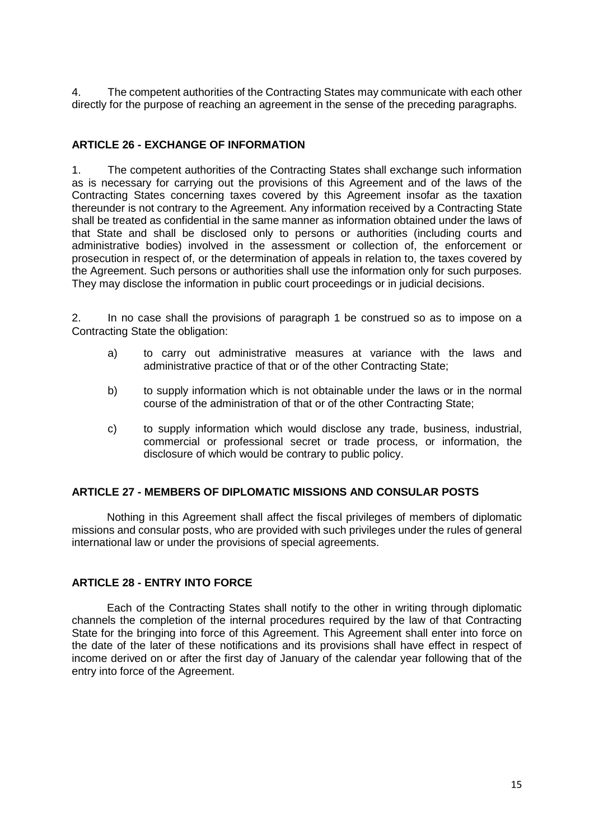4. The competent authorities of the Contracting States may communicate with each other directly for the purpose of reaching an agreement in the sense of the preceding paragraphs.

## **ARTICLE 26 - EXCHANGE OF INFORMATION**

1. The competent authorities of the Contracting States shall exchange such information as is necessary for carrying out the provisions of this Agreement and of the laws of the Contracting States concerning taxes covered by this Agreement insofar as the taxation thereunder is not contrary to the Agreement. Any information received by a Contracting State shall be treated as confidential in the same manner as information obtained under the laws of that State and shall be disclosed only to persons or authorities (including courts and administrative bodies) involved in the assessment or collection of, the enforcement or prosecution in respect of, or the determination of appeals in relation to, the taxes covered by the Agreement. Such persons or authorities shall use the information only for such purposes. They may disclose the information in public court proceedings or in judicial decisions.

2. In no case shall the provisions of paragraph 1 be construed so as to impose on a Contracting State the obligation:

- a) to carry out administrative measures at variance with the laws and administrative practice of that or of the other Contracting State;
- b) to supply information which is not obtainable under the laws or in the normal course of the administration of that or of the other Contracting State;
- c) to supply information which would disclose any trade, business, industrial, commercial or professional secret or trade process, or information, the disclosure of which would be contrary to public policy.

## **ARTICLE 27 - MEMBERS OF DIPLOMATIC MISSIONS AND CONSULAR POSTS**

Nothing in this Agreement shall affect the fiscal privileges of members of diplomatic missions and consular posts, who are provided with such privileges under the rules of general international law or under the provisions of special agreements.

## **ARTICLE 28 - ENTRY INTO FORCE**

Each of the Contracting States shall notify to the other in writing through diplomatic channels the completion of the internal procedures required by the law of that Contracting State for the bringing into force of this Agreement. This Agreement shall enter into force on the date of the later of these notifications and its provisions shall have effect in respect of income derived on or after the first day of January of the calendar year following that of the entry into force of the Agreement.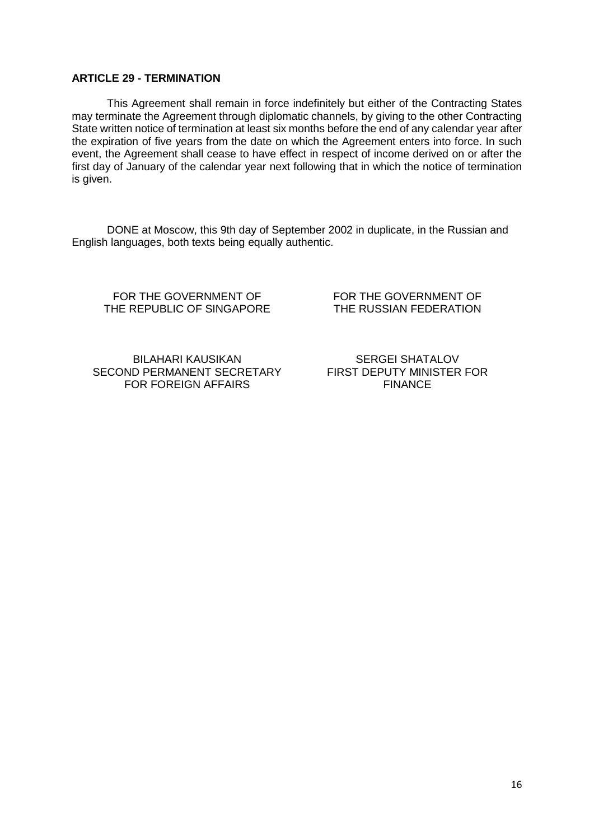#### **ARTICLE 29 - TERMINATION**

This Agreement shall remain in force indefinitely but either of the Contracting States may terminate the Agreement through diplomatic channels, by giving to the other Contracting State written notice of termination at least six months before the end of any calendar year after the expiration of five years from the date on which the Agreement enters into force. In such event, the Agreement shall cease to have effect in respect of income derived on or after the first day of January of the calendar year next following that in which the notice of termination is given.

DONE at Moscow, this 9th day of September 2002 in duplicate, in the Russian and English languages, both texts being equally authentic.

FOR THE GOVERNMENT OF THE REPUBLIC OF SINGAPORE FOR THE GOVERNMENT OF THE RUSSIAN FEDERATION

BILAHARI KAUSIKAN SECOND PERMANENT SECRETARY FOR FOREIGN AFFAIRS

SERGEI SHATALOV FIRST DEPUTY MINISTER FOR FINANCE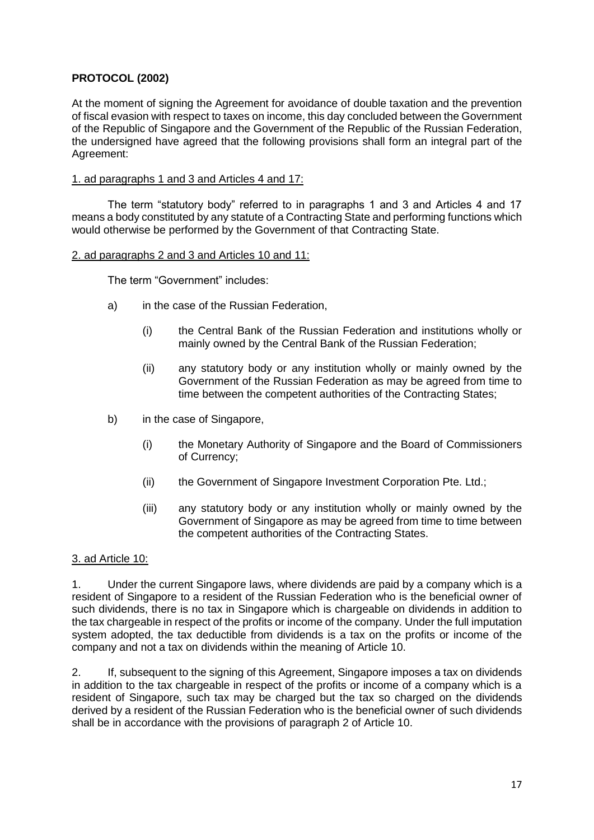## **PROTOCOL (2002)**

At the moment of signing the Agreement for avoidance of double taxation and the prevention of fiscal evasion with respect to taxes on income, this day concluded between the Government of the Republic of Singapore and the Government of the Republic of the Russian Federation, the undersigned have agreed that the following provisions shall form an integral part of the Agreement:

#### 1. ad paragraphs 1 and 3 and Articles 4 and 17:

The term "statutory body" referred to in paragraphs 1 and 3 and Articles 4 and 17 means a body constituted by any statute of a Contracting State and performing functions which would otherwise be performed by the Government of that Contracting State.

#### 2. ad paragraphs 2 and 3 and Articles 10 and 11:

The term "Government" includes:

- a) in the case of the Russian Federation,
	- (i) the Central Bank of the Russian Federation and institutions wholly or mainly owned by the Central Bank of the Russian Federation;
	- (ii) any statutory body or any institution wholly or mainly owned by the Government of the Russian Federation as may be agreed from time to time between the competent authorities of the Contracting States;
- b) in the case of Singapore,
	- (i) the Monetary Authority of Singapore and the Board of Commissioners of Currency;
	- (ii) the Government of Singapore Investment Corporation Pte. Ltd.;
	- (iii) any statutory body or any institution wholly or mainly owned by the Government of Singapore as may be agreed from time to time between the competent authorities of the Contracting States.

## 3. ad Article 10:

1. Under the current Singapore laws, where dividends are paid by a company which is a resident of Singapore to a resident of the Russian Federation who is the beneficial owner of such dividends, there is no tax in Singapore which is chargeable on dividends in addition to the tax chargeable in respect of the profits or income of the company. Under the full imputation system adopted, the tax deductible from dividends is a tax on the profits or income of the company and not a tax on dividends within the meaning of Article 10.

2. If, subsequent to the signing of this Agreement, Singapore imposes a tax on dividends in addition to the tax chargeable in respect of the profits or income of a company which is a resident of Singapore, such tax may be charged but the tax so charged on the dividends derived by a resident of the Russian Federation who is the beneficial owner of such dividends shall be in accordance with the provisions of paragraph 2 of Article 10.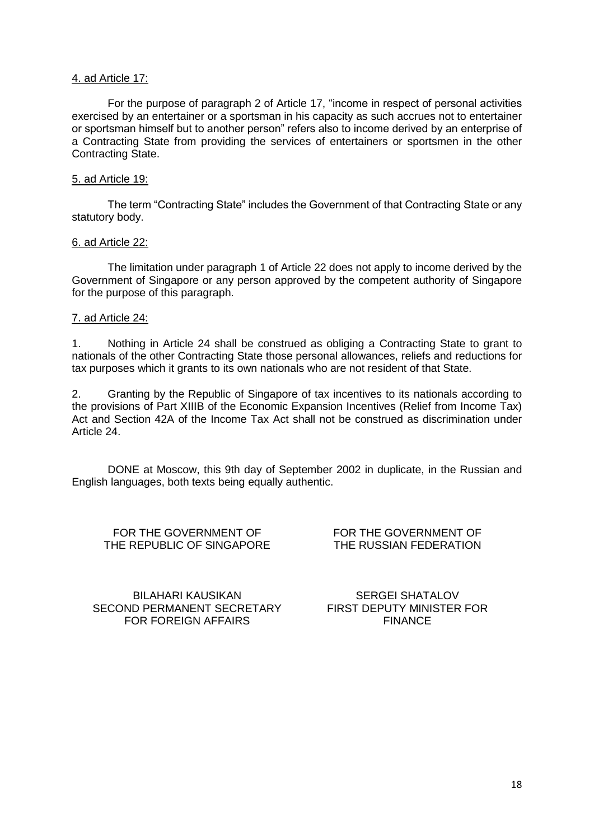#### 4. ad Article 17:

For the purpose of paragraph 2 of Article 17, "income in respect of personal activities exercised by an entertainer or a sportsman in his capacity as such accrues not to entertainer or sportsman himself but to another person" refers also to income derived by an enterprise of a Contracting State from providing the services of entertainers or sportsmen in the other Contracting State.

#### 5. ad Article 19:

The term "Contracting State" includes the Government of that Contracting State or any statutory body.

#### 6. ad Article 22:

The limitation under paragraph 1 of Article 22 does not apply to income derived by the Government of Singapore or any person approved by the competent authority of Singapore for the purpose of this paragraph.

#### 7. ad Article 24:

1. Nothing in Article 24 shall be construed as obliging a Contracting State to grant to nationals of the other Contracting State those personal allowances, reliefs and reductions for tax purposes which it grants to its own nationals who are not resident of that State.

2. Granting by the Republic of Singapore of tax incentives to its nationals according to the provisions of Part XIIIB of the Economic Expansion Incentives (Relief from Income Tax) Act and Section 42A of the Income Tax Act shall not be construed as discrimination under Article 24.

DONE at Moscow, this 9th day of September 2002 in duplicate, in the Russian and English languages, both texts being equally authentic.

FOR THE GOVERNMENT OF THE REPUBLIC OF SINGAPORE FOR THE GOVERNMENT OF THE RUSSIAN FEDERATION

BILAHARI KAUSIKAN SECOND PERMANENT SECRETARY FOR FOREIGN AFFAIRS

SERGEI SHATALOV FIRST DEPUTY MINISTER FOR FINANCE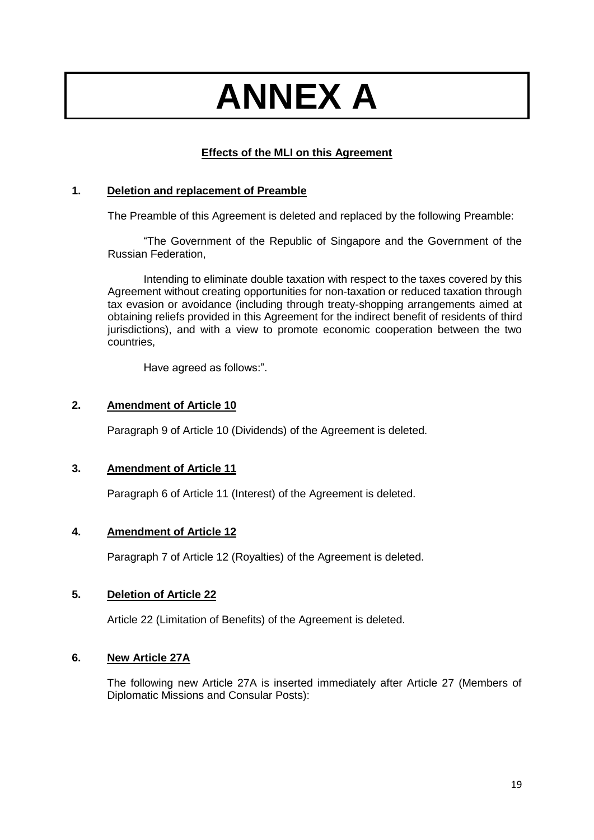# **ANNEX A**

# **Effects of the MLI on this Agreement**

## **1. Deletion and replacement of Preamble**

The Preamble of this Agreement is deleted and replaced by the following Preamble:

"The Government of the Republic of Singapore and the Government of the Russian Federation,

Intending to eliminate double taxation with respect to the taxes covered by this Agreement without creating opportunities for non-taxation or reduced taxation through tax evasion or avoidance (including through treaty-shopping arrangements aimed at obtaining reliefs provided in this Agreement for the indirect benefit of residents of third jurisdictions), and with a view to promote economic cooperation between the two countries,

Have agreed as follows:".

## **2. Amendment of Article 10**

Paragraph 9 of Article 10 (Dividends) of the Agreement is deleted.

# **3. Amendment of Article 11**

Paragraph 6 of Article 11 (Interest) of the Agreement is deleted.

# **4. Amendment of Article 12**

Paragraph 7 of Article 12 (Royalties) of the Agreement is deleted.

## **5. Deletion of Article 22**

Article 22 (Limitation of Benefits) of the Agreement is deleted.

## **6. New Article 27A**

The following new Article 27A is inserted immediately after Article 27 (Members of Diplomatic Missions and Consular Posts):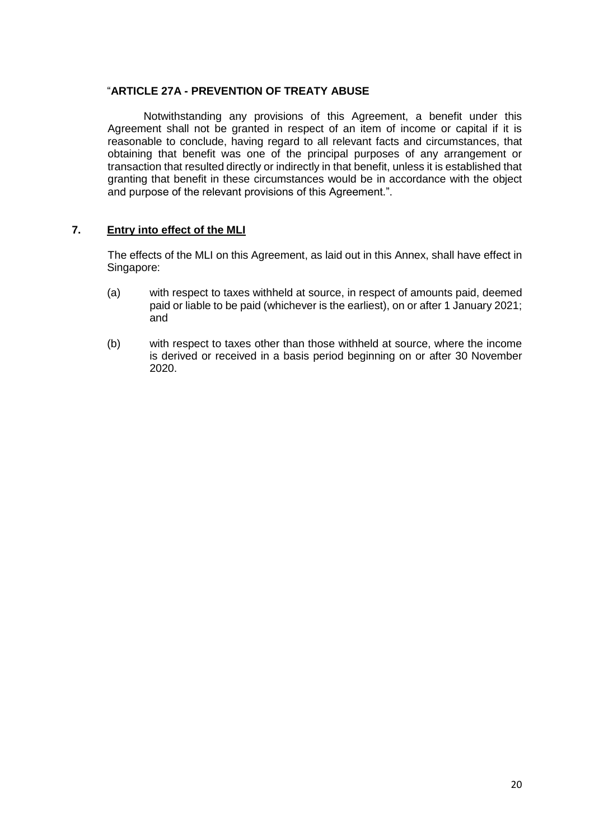## "**ARTICLE 27A - PREVENTION OF TREATY ABUSE**

Notwithstanding any provisions of this Agreement, a benefit under this Agreement shall not be granted in respect of an item of income or capital if it is reasonable to conclude, having regard to all relevant facts and circumstances, that obtaining that benefit was one of the principal purposes of any arrangement or transaction that resulted directly or indirectly in that benefit, unless it is established that granting that benefit in these circumstances would be in accordance with the object and purpose of the relevant provisions of this Agreement.".

## **7. Entry into effect of the MLI**

The effects of the MLI on this Agreement, as laid out in this Annex, shall have effect in Singapore:

- (a) with respect to taxes withheld at source, in respect of amounts paid, deemed paid or liable to be paid (whichever is the earliest), on or after 1 January 2021; and
- (b) with respect to taxes other than those withheld at source, where the income is derived or received in a basis period beginning on or after 30 November 2020.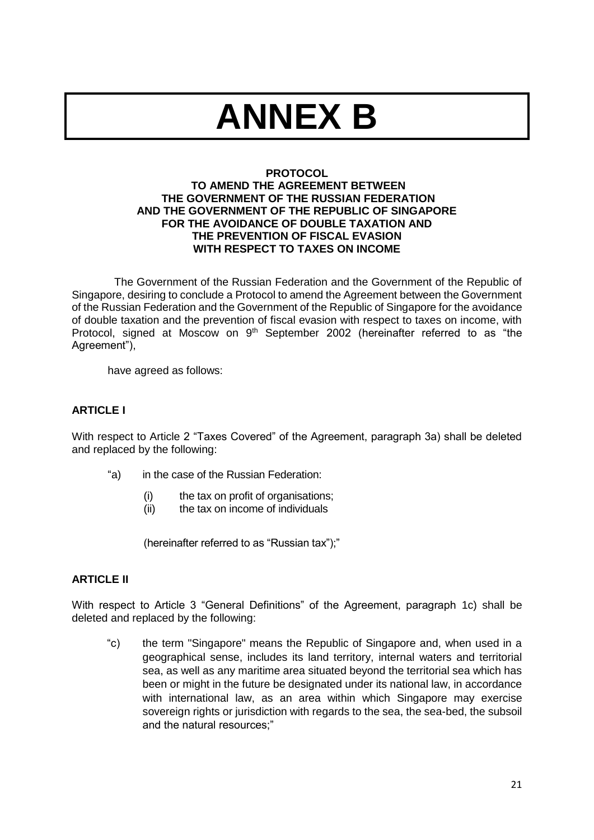# **ANNEX B**

## **PROTOCOL**

#### **TO AMEND THE AGREEMENT BETWEEN THE GOVERNMENT OF THE RUSSIAN FEDERATION AND THE GOVERNMENT OF THE REPUBLIC OF SINGAPORE FOR THE AVOIDANCE OF DOUBLE TAXATION AND THE PREVENTION OF FISCAL EVASION WITH RESPECT TO TAXES ON INCOME**

The Government of the Russian Federation and the Government of the Republic of Singapore, desiring to conclude a Protocol to amend the Agreement between the Government of the Russian Federation and the Government of the Republic of Singapore for the avoidance of double taxation and the prevention of fiscal evasion with respect to taxes on income, with Protocol, signed at Moscow on  $9<sup>th</sup>$  September 2002 (hereinafter referred to as "the Agreement"),

have agreed as follows:

# **ARTICLE I**

With respect to Article 2 "Taxes Covered" of the Agreement, paragraph 3a) shall be deleted and replaced by the following:

- "a) in the case of the Russian Federation:
	- (i) the tax on profit of organisations;<br>(ii) the tax on income of individuals
	- the tax on income of individuals

(hereinafter referred to as "Russian tax");"

## **ARTICLE II**

With respect to Article 3 "General Definitions" of the Agreement, paragraph 1c) shall be deleted and replaced by the following:

"c) the term "Singapore" means the Republic of Singapore and, when used in a geographical sense, includes its land territory, internal waters and territorial sea, as well as any maritime area situated beyond the territorial sea which has been or might in the future be designated under its national law, in accordance with international law, as an area within which Singapore may exercise sovereign rights or jurisdiction with regards to the sea, the sea-bed, the subsoil and the natural resources;"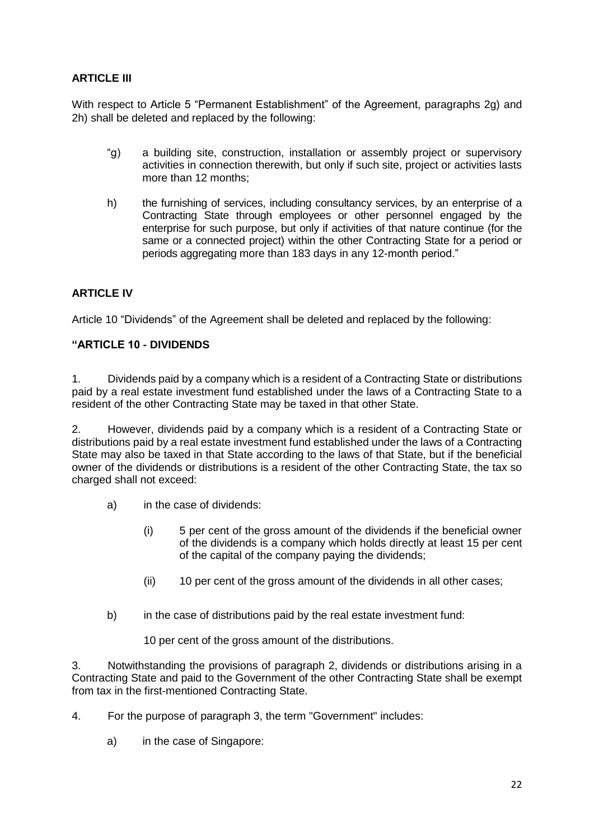# **ARTICLE III**

With respect to Article 5 "Permanent Establishment" of the Agreement, paragraphs 2g) and 2h) shall be deleted and replaced by the following:

- "g) a building site, construction, installation or assembly project or supervisory activities in connection therewith, but only if such site, project or activities lasts more than 12 months;
- h) the furnishing of services, including consultancy services, by an enterprise of a Contracting State through employees or other personnel engaged by the enterprise for such purpose, but only if activities of that nature continue (for the same or a connected project) within the other Contracting State for a period or periods aggregating more than 183 days in any 12-month period."

# **ARTICLE IV**

Article 10 "Dividends" of the Agreement shall be deleted and replaced by the following:

## **"ARTICLE 10 - DIVIDENDS**

1. Dividends paid by a company which is a resident of a Contracting State or distributions paid by a real estate investment fund established under the laws of a Contracting State to a resident of the other Contracting State may be taxed in that other State.

2. However, dividends paid by a company which is a resident of a Contracting State or distributions paid by a real estate investment fund established under the laws of a Contracting State may also be taxed in that State according to the laws of that State, but if the beneficial owner of the dividends or distributions is a resident of the other Contracting State, the tax so charged shall not exceed:

- a) in the case of dividends:
	- (i) 5 per cent of the gross amount of the dividends if the beneficial owner of the dividends is a company which holds directly at least 15 per cent of the capital of the company paying the dividends;
	- (ii) 10 per cent of the gross amount of the dividends in all other cases;
- b) in the case of distributions paid by the real estate investment fund:

10 per cent of the gross amount of the distributions.

3. Notwithstanding the provisions of paragraph 2, dividends or distributions arising in a Contracting State and paid to the Government of the other Contracting State shall be exempt from tax in the first-mentioned Contracting State.

- 4. For the purpose of paragraph 3, the term "Government" includes:
	- a) in the case of Singapore: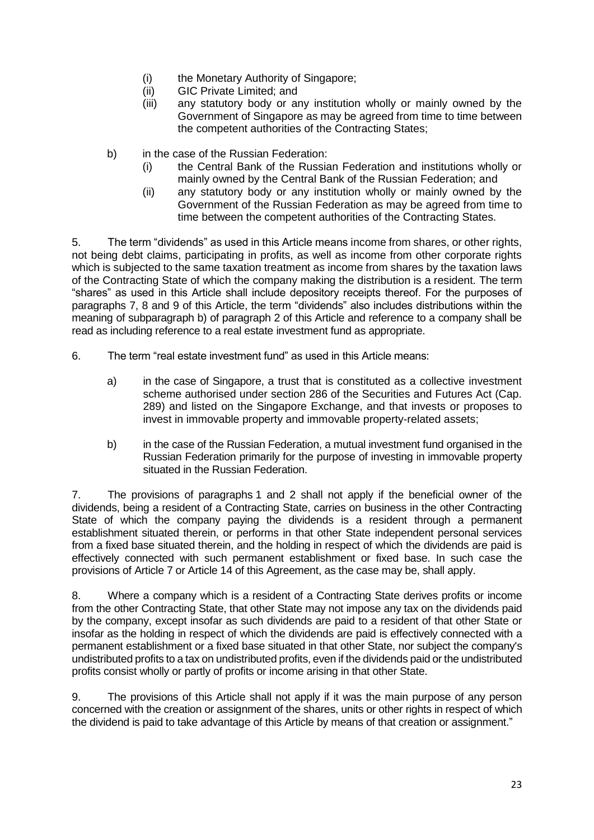- (i) the Monetary Authority of Singapore;
- (ii) GIC Private Limited; and
- (iii) any statutory body or any institution wholly or mainly owned by the Government of Singapore as may be agreed from time to time between the competent authorities of the Contracting States;
- b) in the case of the Russian Federation:
	- (i) the Central Bank of the Russian Federation and institutions wholly or mainly owned by the Central Bank of the Russian Federation; and
	- (ii) any statutory body or any institution wholly or mainly owned by the Government of the Russian Federation as may be agreed from time to time between the competent authorities of the Contracting States.

5. The term "dividends" as used in this Article means income from shares, or other rights, not being debt claims, participating in profits, as well as income from other corporate rights which is subjected to the same taxation treatment as income from shares by the taxation laws of the Contracting State of which the company making the distribution is a resident. The term "shares" as used in this Article shall include depository receipts thereof. For the purposes of paragraphs 7, 8 and 9 of this Article, the term "dividends" also includes distributions within the meaning of subparagraph b) of paragraph 2 of this Article and reference to a company shall be read as including reference to a real estate investment fund as appropriate.

- 6. The term "real estate investment fund" as used in this Article means:
	- a) in the case of Singapore, a trust that is constituted as a collective investment scheme authorised under section 286 of the Securities and Futures Act (Cap. 289) and listed on the Singapore Exchange, and that invests or proposes to invest in immovable property and immovable property-related assets;
	- b) in the case of the Russian Federation, a mutual investment fund organised in the Russian Federation primarily for the purpose of investing in immovable property situated in the Russian Federation.

7. The provisions of paragraphs 1 and 2 shall not apply if the beneficial owner of the dividends, being a resident of a Contracting State, carries on business in the other Contracting State of which the company paying the dividends is a resident through a permanent establishment situated therein, or performs in that other State independent personal services from a fixed base situated therein, and the holding in respect of which the dividends are paid is effectively connected with such permanent establishment or fixed base. In such case the provisions of Article 7 or Article 14 of this Agreement, as the case may be, shall apply.

8. Where a company which is a resident of a Contracting State derives profits or income from the other Contracting State, that other State may not impose any tax on the dividends paid by the company, except insofar as such dividends are paid to a resident of that other State or insofar as the holding in respect of which the dividends are paid is effectively connected with a permanent establishment or a fixed base situated in that other State, nor subject the company's undistributed profits to a tax on undistributed profits, even if the dividends paid or the undistributed profits consist wholly or partly of profits or income arising in that other State.

9. The provisions of this Article shall not apply if it was the main purpose of any person concerned with the creation or assignment of the shares, units or other rights in respect of which the dividend is paid to take advantage of this Article by means of that creation or assignment."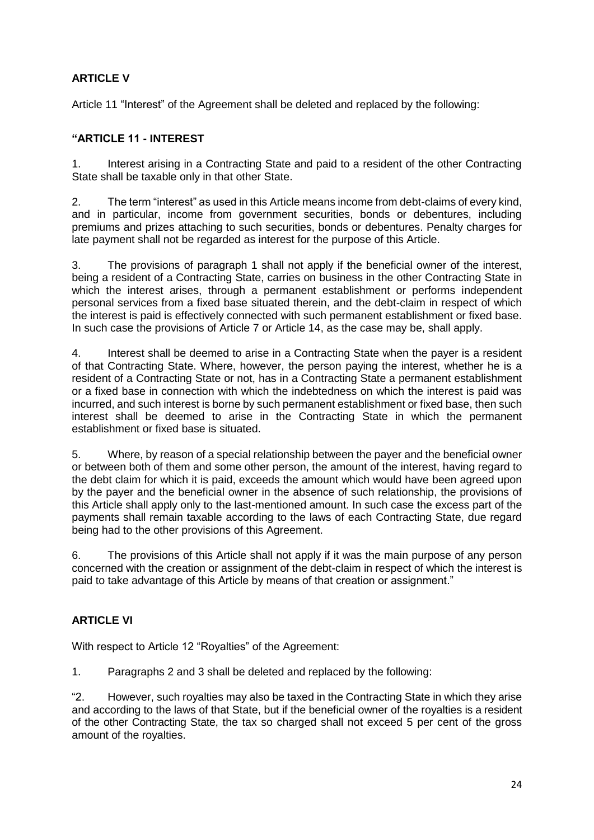# **ARTICLE V**

Article 11 "Interest" of the Agreement shall be deleted and replaced by the following:

# **"ARTICLE 11 - INTEREST**

1. Interest arising in a Contracting State and paid to a resident of the other Contracting State shall be taxable only in that other State.

2. The term "interest" as used in this Article means income from debt-claims of every kind, and in particular, income from government securities, bonds or debentures, including premiums and prizes attaching to such securities, bonds or debentures. Penalty charges for late payment shall not be regarded as interest for the purpose of this Article.

3. The provisions of paragraph 1 shall not apply if the beneficial owner of the interest, being a resident of a Contracting State, carries on business in the other Contracting State in which the interest arises, through a permanent establishment or performs independent personal services from a fixed base situated therein, and the debt-claim in respect of which the interest is paid is effectively connected with such permanent establishment or fixed base. In such case the provisions of Article 7 or Article 14, as the case may be, shall apply.

4. Interest shall be deemed to arise in a Contracting State when the payer is a resident of that Contracting State. Where, however, the person paying the interest, whether he is a resident of a Contracting State or not, has in a Contracting State a permanent establishment or a fixed base in connection with which the indebtedness on which the interest is paid was incurred, and such interest is borne by such permanent establishment or fixed base, then such interest shall be deemed to arise in the Contracting State in which the permanent establishment or fixed base is situated.

5. Where, by reason of a special relationship between the payer and the beneficial owner or between both of them and some other person, the amount of the interest, having regard to the debt claim for which it is paid, exceeds the amount which would have been agreed upon by the payer and the beneficial owner in the absence of such relationship, the provisions of this Article shall apply only to the last-mentioned amount. In such case the excess part of the payments shall remain taxable according to the laws of each Contracting State, due regard being had to the other provisions of this Agreement.

6. The provisions of this Article shall not apply if it was the main purpose of any person concerned with the creation or assignment of the debt-claim in respect of which the interest is paid to take advantage of this Article by means of that creation or assignment."

# **ARTICLE VI**

With respect to Article 12 "Royalties" of the Agreement:

1. Paragraphs 2 and 3 shall be deleted and replaced by the following:

"2. However, such royalties may also be taxed in the Contracting State in which they arise and according to the laws of that State, but if the beneficial owner of the royalties is a resident of the other Contracting State, the tax so charged shall not exceed 5 per cent of the gross amount of the royalties.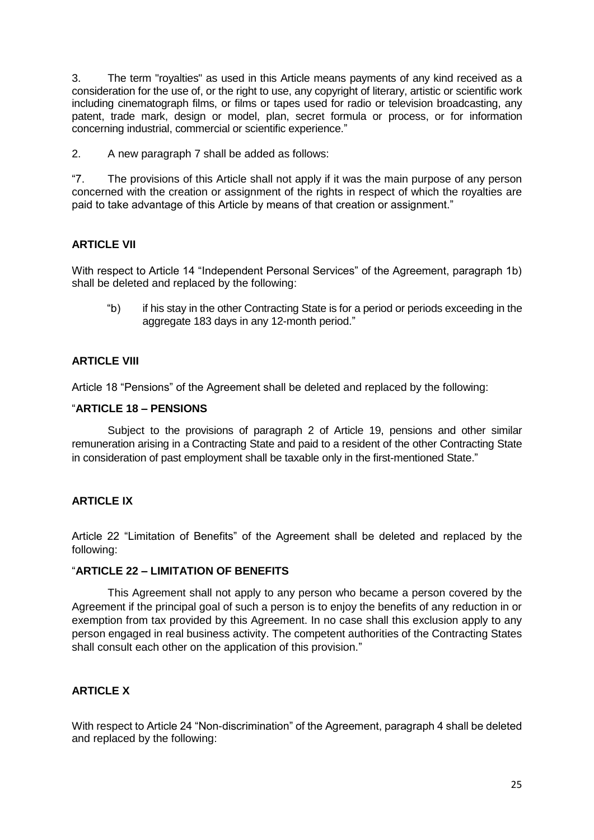3. The term "royalties" as used in this Article means payments of any kind received as a consideration for the use of, or the right to use, any copyright of literary, artistic or scientific work including cinematograph films, or films or tapes used for radio or television broadcasting, any patent, trade mark, design or model, plan, secret formula or process, or for information concerning industrial, commercial or scientific experience."

2. A new paragraph 7 shall be added as follows:

"7. The provisions of this Article shall not apply if it was the main purpose of any person concerned with the creation or assignment of the rights in respect of which the royalties are paid to take advantage of this Article by means of that creation or assignment."

# **ARTICLE VII**

With respect to Article 14 "Independent Personal Services" of the Agreement, paragraph 1b) shall be deleted and replaced by the following:

"b) if his stay in the other Contracting State is for a period or periods exceeding in the aggregate 183 days in any 12-month period."

# **ARTICLE VIII**

Article 18 "Pensions" of the Agreement shall be deleted and replaced by the following:

## "**ARTICLE 18 – PENSIONS**

Subject to the provisions of paragraph 2 of Article 19, pensions and other similar remuneration arising in a Contracting State and paid to a resident of the other Contracting State in consideration of past employment shall be taxable only in the first-mentioned State."

# **ARTICLE IX**

Article 22 "Limitation of Benefits" of the Agreement shall be deleted and replaced by the following:

## "**ARTICLE 22 – LIMITATION OF BENEFITS**

This Agreement shall not apply to any person who became a person covered by the Agreement if the principal goal of such a person is to enjoy the benefits of any reduction in or exemption from tax provided by this Agreement. In no case shall this exclusion apply to any person engaged in real business activity. The competent authorities of the Contracting States shall consult each other on the application of this provision."

## **ARTICLE X**

With respect to Article 24 "Non-discrimination" of the Agreement, paragraph 4 shall be deleted and replaced by the following: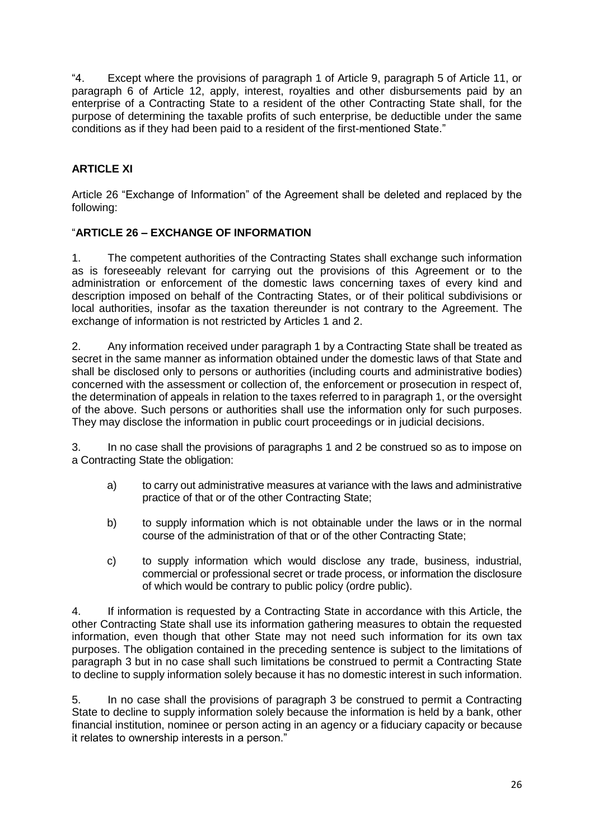"4. Except where the provisions of paragraph 1 of Article 9, paragraph 5 of Article 11, or paragraph 6 of Article 12, apply, interest, royalties and other disbursements paid by an enterprise of a Contracting State to a resident of the other Contracting State shall, for the purpose of determining the taxable profits of such enterprise, be deductible under the same conditions as if they had been paid to a resident of the first-mentioned State."

# **ARTICLE XI**

Article 26 "Exchange of Information" of the Agreement shall be deleted and replaced by the following:

# "**ARTICLE 26 – EXCHANGE OF INFORMATION**

1. The competent authorities of the Contracting States shall exchange such information as is foreseeably relevant for carrying out the provisions of this Agreement or to the administration or enforcement of the domestic laws concerning taxes of every kind and description imposed on behalf of the Contracting States, or of their political subdivisions or local authorities, insofar as the taxation thereunder is not contrary to the Agreement. The exchange of information is not restricted by Articles 1 and 2.

2. Any information received under paragraph 1 by a Contracting State shall be treated as secret in the same manner as information obtained under the domestic laws of that State and shall be disclosed only to persons or authorities (including courts and administrative bodies) concerned with the assessment or collection of, the enforcement or prosecution in respect of, the determination of appeals in relation to the taxes referred to in paragraph 1, or the oversight of the above. Such persons or authorities shall use the information only for such purposes. They may disclose the information in public court proceedings or in judicial decisions.

3. In no case shall the provisions of paragraphs 1 and 2 be construed so as to impose on a Contracting State the obligation:

- a) to carry out administrative measures at variance with the laws and administrative practice of that or of the other Contracting State;
- b) to supply information which is not obtainable under the laws or in the normal course of the administration of that or of the other Contracting State;
- c) to supply information which would disclose any trade, business, industrial, commercial or professional secret or trade process, or information the disclosure of which would be contrary to public policy (ordre public).

4. If information is requested by a Contracting State in accordance with this Article, the other Contracting State shall use its information gathering measures to obtain the requested information, even though that other State may not need such information for its own tax purposes. The obligation contained in the preceding sentence is subject to the limitations of paragraph 3 but in no case shall such limitations be construed to permit a Contracting State to decline to supply information solely because it has no domestic interest in such information.

5. In no case shall the provisions of paragraph 3 be construed to permit a Contracting State to decline to supply information solely because the information is held by a bank, other financial institution, nominee or person acting in an agency or a fiduciary capacity or because it relates to ownership interests in a person."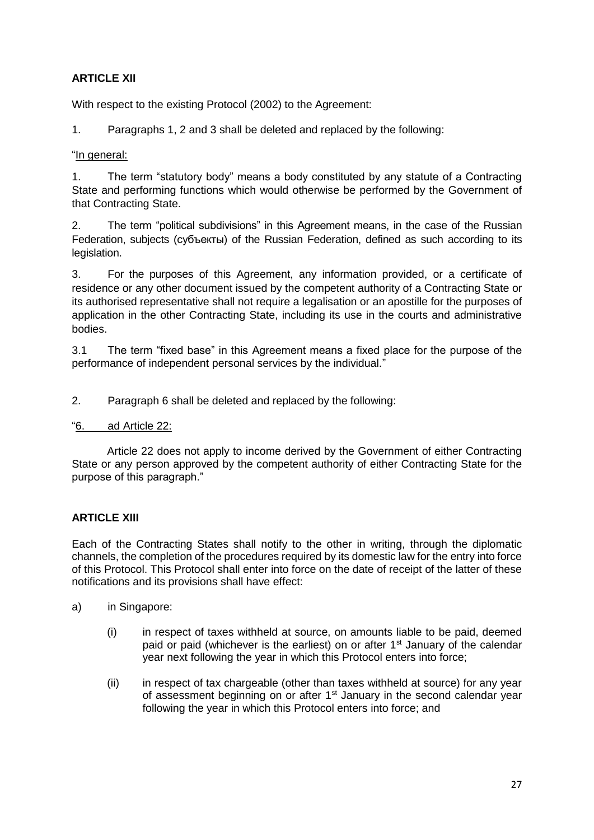# **ARTICLE XII**

With respect to the existing Protocol (2002) to the Agreement:

1. Paragraphs 1, 2 and 3 shall be deleted and replaced by the following:

## "In general:

1. The term "statutory body" means a body constituted by any statute of a Contracting State and performing functions which would otherwise be performed by the Government of that Contracting State.

2. The term "political subdivisions" in this Agreement means, in the case of the Russian Federation, subjects (субъекты) of the Russian Federation, defined as such according to its legislation.

3. For the purposes of this Agreement, any information provided, or a certificate of residence or any other document issued by the competent authority of a Contracting State or its authorised representative shall not require a legalisation or an apostille for the purposes of application in the other Contracting State, including its use in the courts and administrative bodies.

3.1 The term "fixed base" in this Agreement means a fixed place for the purpose of the performance of independent personal services by the individual."

2. Paragraph 6 shall be deleted and replaced by the following:

## "6. ad Article 22:

Article 22 does not apply to income derived by the Government of either Contracting State or any person approved by the competent authority of either Contracting State for the purpose of this paragraph."

# **ARTICLE XIII**

Each of the Contracting States shall notify to the other in writing, through the diplomatic channels, the completion of the procedures required by its domestic law for the entry into force of this Protocol. This Protocol shall enter into force on the date of receipt of the latter of these notifications and its provisions shall have effect:

- a) in Singapore:
	- (i) in respect of taxes withheld at source, on amounts liable to be paid, deemed paid or paid (whichever is the earliest) on or after  $1<sup>st</sup>$  January of the calendar year next following the year in which this Protocol enters into force;
	- (ii) in respect of tax chargeable (other than taxes withheld at source) for any year of assessment beginning on or after 1<sup>st</sup> January in the second calendar year following the year in which this Protocol enters into force; and